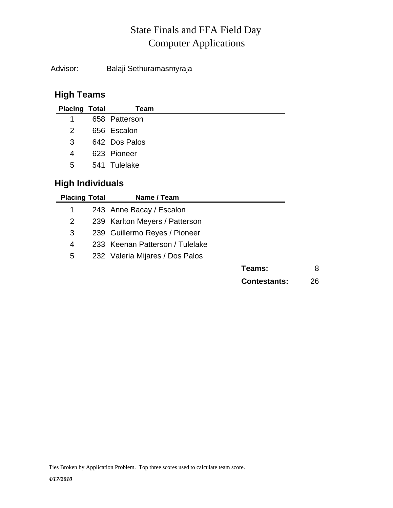## Computer Applications State Finals and FFA Field Day

Advisor: Balaji Sethuramasmyraja

## **High Teams**

| <b>Placing Total</b> | Team          |
|----------------------|---------------|
| 1                    | 658 Patterson |
| $\mathcal{P}$        | 656 Escalon   |
| 3                    | 642 Dos Palos |
| 4                    | 623 Pioneer   |
| 5                    | 541 Tulelake  |
|                      |               |

## **High Individuals**

| <b>Placing Total</b> | Name / Team                     |                     |    |
|----------------------|---------------------------------|---------------------|----|
|                      | 243 Anne Bacay / Escalon        |                     |    |
| 2                    | 239 Karlton Meyers / Patterson  |                     |    |
| 3                    | 239 Guillermo Reyes / Pioneer   |                     |    |
| 4                    | 233 Keenan Patterson / Tulelake |                     |    |
| 5                    | 232 Valeria Mijares / Dos Palos |                     |    |
|                      |                                 | Teams:              | 8  |
|                      |                                 | <b>Contestants:</b> | 26 |

Ties Broken by Application Problem. Top three scores used to calculate team score.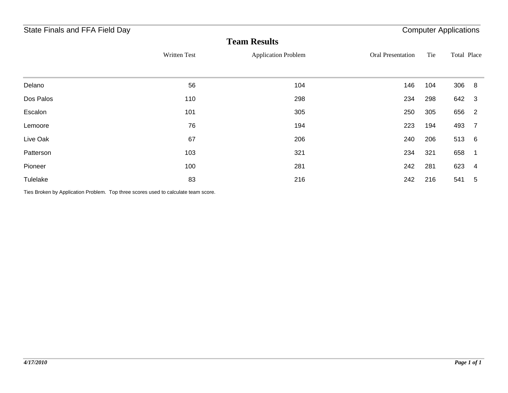| State Finals and FFA Field Day |              |                            | <b>Computer Applications</b> |     |                                   |  |
|--------------------------------|--------------|----------------------------|------------------------------|-----|-----------------------------------|--|
|                                |              | <b>Team Results</b>        |                              |     |                                   |  |
|                                | Written Test | <b>Application Problem</b> | <b>Oral Presentation</b>     | Tie | Total Place                       |  |
|                                |              |                            |                              |     |                                   |  |
| Delano                         | 56           | 104                        | 146                          | 104 | 306<br>-8                         |  |
| Dos Palos                      | 110          | 298                        | 234                          | 298 | 642 3                             |  |
| Escalon                        | 101          | 305                        | 250                          | 305 | 656<br>$\overline{\phantom{0}}^2$ |  |
| Lemoore                        | 76           | 194                        | 223                          | 194 | 493<br>-7                         |  |
| Live Oak                       | 67           | 206                        | 240                          | 206 | 513<br>$6\overline{6}$            |  |
| Patterson                      | 103          | 321                        | 234                          | 321 | 658<br>-1                         |  |
| Pioneer                        | 100          | 281                        | 242                          | 281 | 623<br>4                          |  |
| Tulelake                       | 83           | 216                        | 242                          | 216 | 541<br>5                          |  |

Ties Broken by Application Problem. Top three scores used to calculate team score.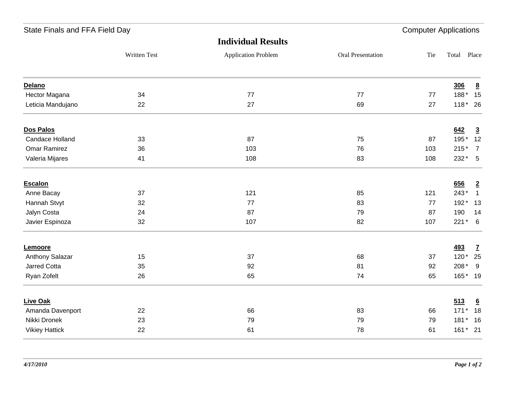| State Finals and FFA Field Day |              |                            |                   |     | <b>Computer Applications</b> |                 |  |
|--------------------------------|--------------|----------------------------|-------------------|-----|------------------------------|-----------------|--|
|                                |              | <b>Individual Results</b>  |                   |     |                              |                 |  |
|                                | Written Test | <b>Application Problem</b> | Oral Presentation | Tie | Total Place                  |                 |  |
| Delano                         |              |                            |                   |     | <b>306</b>                   | $\underline{8}$ |  |
| Hector Magana                  | 34           | 77                         | 77                | 77  | $188*$                       | 15              |  |
| Leticia Mandujano              | 22           | 27                         | 69                | 27  |                              | $118*26$        |  |
| Dos Palos                      |              |                            |                   |     | 642                          | $\overline{3}$  |  |
| Candace Holland                | 33           | 87                         | 75                | 87  | 195*                         | 12              |  |
| <b>Omar Ramirez</b>            | 36           | 103                        | 76                | 103 | $215*$                       | $\overline{7}$  |  |
| Valeria Mijares                | 41           | 108                        | 83                | 108 | $232 * 5$                    |                 |  |
| Escalon                        |              |                            |                   |     | 656                          | $\overline{2}$  |  |
| Anne Bacay                     | 37           | 121                        | 85                | 121 | $243*$                       | $\overline{1}$  |  |
| Hannah Stvyt                   | 32           | 77                         | 83                | 77  |                              | 192* 13         |  |
| Jalyn Costa                    | 24           | 87                         | 79                | 87  | 190                          | 14              |  |
| Javier Espinoza                | 32           | 107                        | 82                | 107 | $221*6$                      |                 |  |
| Lemoore                        |              |                            |                   |     | <b>493</b>                   | $\mathbf{Z}$    |  |
| Anthony Salazar                | 15           | 37                         | 68                | 37  | $120*$                       | 25              |  |
| <b>Jarred Cotta</b>            | 35           | 92                         | 81                | 92  | 208*                         | 9               |  |
| Ryan Zofelt                    | 26           | 65                         | 74                | 65  |                              | 165* 19         |  |
| <b>Live Oak</b>                |              |                            |                   |     | 513                          | 6               |  |
| Amanda Davenport               | 22           | 66                         | 83                | 66  | $171*$                       | 18              |  |
| Nikki Dronek                   | 23           | 79                         | 79                | 79  |                              | 181* 16         |  |
| <b>Vikiey Hattick</b>          | 22           | 61                         | 78                | 61  | 161* 21                      |                 |  |